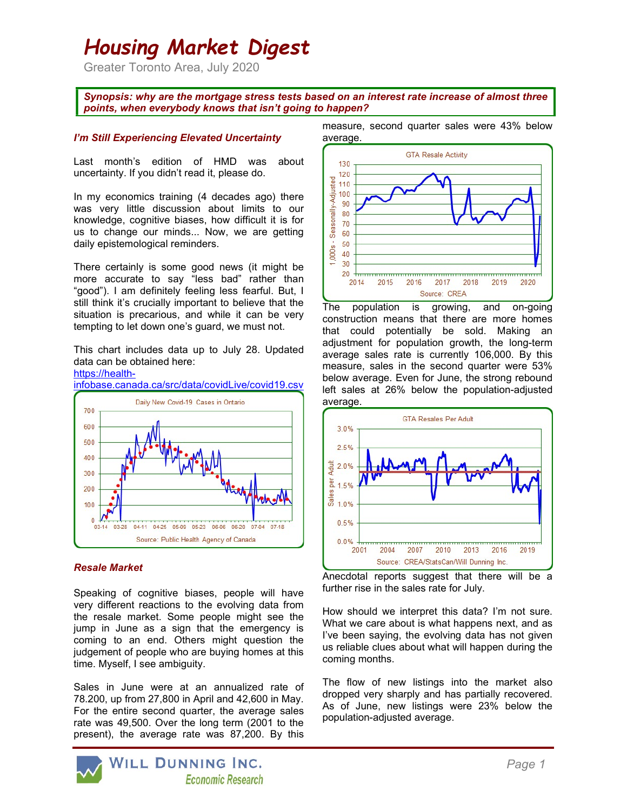# Housing Market Digest

Greater Toronto Area, July 2020

Synopsis: why are the mortgage stress tests based on an interest rate increase of almost three points, when everybody knows that isn't going to happen?

### I'm Still Experiencing Elevated Uncertainty

Last month's edition of HMD was about uncertainty. If you didn't read it, please do.

In my economics training (4 decades ago) there was very little discussion about limits to our knowledge, cognitive biases, how difficult it is for us to change our minds... Now, we are getting daily epistemological reminders.

There certainly is some good news (it might be more accurate to say "less bad" rather than "good"). I am definitely feeling less fearful. But, I still think it's crucially important to believe that the situation is precarious, and while it can be very tempting to let down one's guard, we must not.

This chart includes data up to July 28. Updated data can be obtained here:



#### Resale Market

Speaking of cognitive biases, people will have very different reactions to the evolving data from the resale market. Some people might see the jump in June as a sign that the emergency is coming to an end. Others might question the judgement of people who are buying homes at this time. Myself, I see ambiguity.

Sales in June were at an annualized rate of 78.200, up from 27,800 in April and 42,600 in May. For the entire second quarter, the average sales rate was 49,500. Over the long term (2001 to the present), the average rate was 87,200. By this



The population is growing, and on-going construction means that there are more homes that could potentially be sold. Making an adjustment for population growth, the long-term average sales rate is currently 106,000. By this measure, sales in the second quarter were 53% below average. Even for June, the strong rebound left sales at 26% below the population-adjusted average.



Anecdotal reports suggest that there will be a further rise in the sales rate for July.

How should we interpret this data? I'm not sure. What we care about is what happens next, and as I've been saying, the evolving data has not given us reliable clues about what will happen during the coming months.

The flow of new listings into the market also dropped very sharply and has partially recovered. As of June, new listings were 23% below the population-adjusted average.